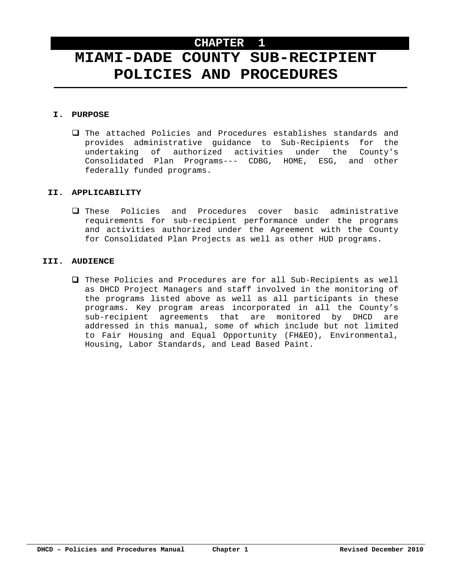# **MIAMI-DADE COUNTY SUB-RECIPIENT POLICIES AND PROCEDURES**

#### **I. PURPOSE**

 The attached Policies and Procedures establishes standards and provides administrative guidance to Sub-Recipients for the undertaking of authorized activities under the County's Consolidated Plan Programs--- CDBG, HOME, ESG, and other federally funded programs.

#### **II. APPLICABILITY**

 These Policies and Procedures cover basic administrative requirements for sub-recipient performance under the programs and activities authorized under the Agreement with the County for Consolidated Plan Projects as well as other HUD programs.

#### **III. AUDIENCE**

 These Policies and Procedures are for all Sub-Recipients as well as DHCD Project Managers and staff involved in the monitoring of the programs listed above as well as all participants in these programs. Key program areas incorporated in all the County's sub-recipient agreements that are monitored by DHCD are addressed in this manual, some of which include but not limited to Fair Housing and Equal Opportunity (FH&EO), Environmental, Housing, Labor Standards, and Lead Based Paint.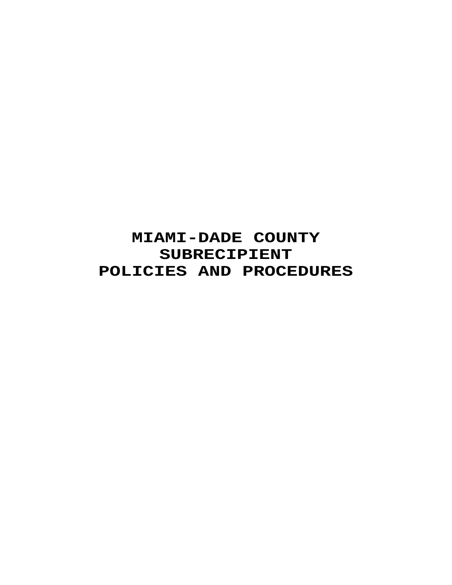# **MIAMI-DADE COUNTY SUBRECIPIENT POLICIES AND PROCEDURES**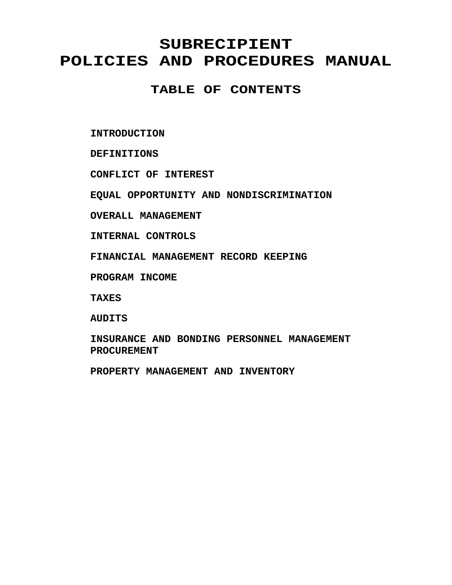# **SUBRECIPIENT POLICIES AND PROCEDURES MANUAL**

**TABLE OF CONTENTS** 

**INTRODUCTION** 

**DEFINITIONS** 

**CONFLICT OF INTEREST** 

**EQUAL OPPORTUNITY AND NONDISCRIMINATION** 

**OVERALL MANAGEMENT** 

**INTERNAL CONTROLS** 

**FINANCIAL MANAGEMENT RECORD KEEPING** 

**PROGRAM INCOME** 

**TAXES** 

**AUDITS** 

**INSURANCE AND BONDING PERSONNEL MANAGEMENT PROCUREMENT** 

**PROPERTY MANAGEMENT AND INVENTORY**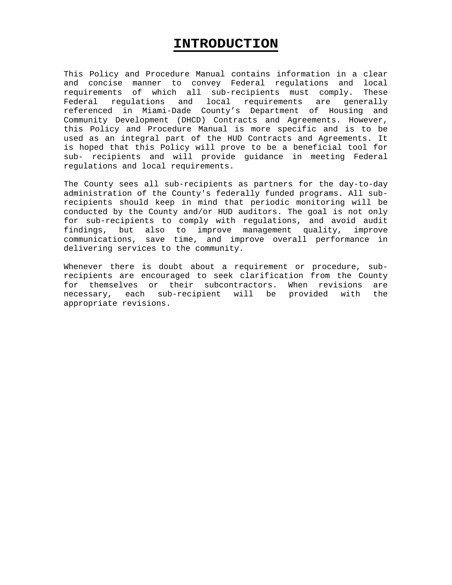### **INTRODUCTION**

This Policy and Procedure Manual contains information in a clear and concise manner to convey Federal regulations and local requirements of which all sub-recipients must comply. These Federal regulations and local requirements are generally referenced in Miami-Dade County's Department of Housing and Community Development (DHCD) Contracts and Agreements. However, this Policy and Procedure Manual is more specific and is to be used as an integral part of the HUD Contracts and Agreements. It is hoped that this Policy will prove to be a beneficial tool for sub- recipients and will provide guidance in meeting Federal regulations and local requirements.

The County sees all sub-recipients as partners for the day-to-day administration of the County's federally funded programs. All subrecipients should keep in mind that periodic monitoring will be conducted by the County and/or HUD auditors. The goal is not only for sub-recipients to comply with regulations, and avoid audit findings, but also to improve management quality, improve communications, save time, and improve overall performance in delivering services to the community.

Whenever there is doubt about a requirement or procedure, subrecipients are encouraged to seek clarification from the County for themselves or their subcontractors. When revisions are necessary, each sub-recipient will be provided with the appropriate revisions.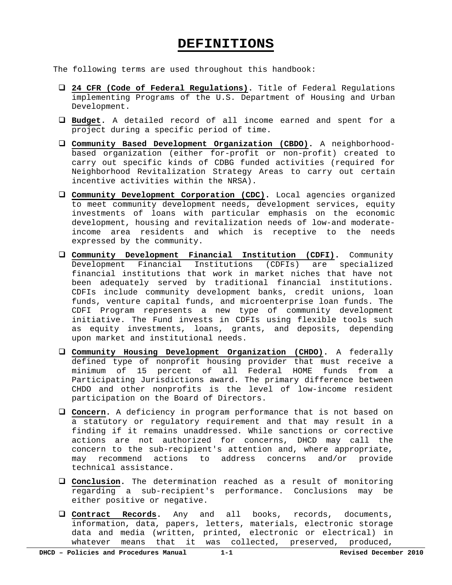### **DEFINITIONS**

The following terms are used throughout this handbook:

- **24 CFR (Code of Federal Regulations).** Title of Federal Regulations implementing Programs of the U.S. Department of Housing and Urban Development.
- **Budget.** A detailed record of all income earned and spent for a project during a specific period of time.
- **Community Based Development Organization (CBDO).** A neighborhoodbased organization (either for-profit or non-profit) created to carry out specific kinds of CDBG funded activities (required for Neighborhood Revitalization Strategy Areas to carry out certain incentive activities within the NRSA).
- **Community Development Corporation (CDC).** Local agencies organized to meet community development needs, development services, equity investments of loans with particular emphasis on the economic development, housing and revitalization needs of low-and moderateincome area residents and which is receptive to the needs expressed by the community.
- **Community Development Financial Institution (CDFI).** Community Development Financial Institutions (CDFIs) are specialized financial institutions that work in market niches that have not been adequately served by traditional financial institutions. CDFIs include community development banks, credit unions, loan funds, venture capital funds, and microenterprise loan funds. The CDFI Program represents a new type of community development initiative. The Fund invests in CDFIs using flexible tools such as equity investments, loans, grants, and deposits, depending upon market and institutional needs.
- **Community Housing Development Organization (CHDO).** A federally defined type of nonprofit housing provider that must receive a minimum of 15 percent of all Federal HOME funds from a Participating Jurisdictions award. The primary difference between CHDO and other nonprofits is the level of low-income resident participation on the Board of Directors.
- **Concern.** A deficiency in program performance that is not based on a statutory or regulatory requirement and that may result in a finding if it remains unaddressed. While sanctions or corrective actions are not authorized for concerns, DHCD may call the concern to the sub-recipient's attention and, where appropriate, may recommend actions to address concerns and/or provide technical assistance.
- **Conclusion.** The determination reached as a result of monitoring regarding a sub-recipient's performance. Conclusions may be either positive or negative.
- **Contract Records.** Any and all books, records, documents, information, data, papers, letters, materials, electronic storage data and media (written, printed, electronic or electrical) in whatever means that it was collected, preserved, produced,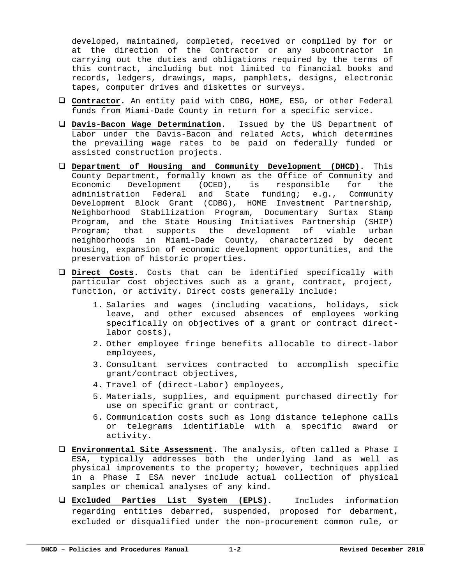developed, maintained, completed, received or compiled by for or at the direction of the Contractor or any subcontractor in carrying out the duties and obligations required by the terms of this contract, including but not limited to financial books and records, ledgers, drawings, maps, pamphlets, designs, electronic tapes, computer drives and diskettes or surveys.

- **Contractor.** An entity paid with CDBG, HOME, ESG, or other Federal funds from Miami-Dade County in return for a specific service.
- **Davis-Bacon Wage Determination.** Issued by the US Department of Labor under the Davis-Bacon and related Acts, which determines the prevailing wage rates to be paid on federally funded or assisted construction projects.
- **Department of Housing and Community Development (DHCD).** This County Department, formally known as the Office of Community and Economic Development (OCED), is responsible for the administration Federal and State funding; e.g., Community Development Block Grant (CDBG), HOME Investment Partnership, Neighborhood Stabilization Program, Documentary Surtax Stamp Program, and the State Housing Initiatives Partnership (SHIP) Program; that supports the development of viable urban neighborhoods in Miami-Dade County, characterized by decent housing, expansion of economic development opportunities, and the preservation of historic properties**.**
- **Direct Costs.** Costs that can be identified specifically with particular cost objectives such as a grant, contract, project, function, or activity. Direct costs generally include:
	- 1. Salaries and wages (including vacations, holidays, sick leave, and other excused absences of employees working specifically on objectives of a grant or contract directlabor costs),
	- 2. Other employee fringe benefits allocable to direct-labor employees,
	- 3. Consultant services contracted to accomplish specific grant/contract objectives,
	- 4. Travel of (direct-Labor) employees,
	- 5. Materials, supplies, and equipment purchased directly for use on specific grant or contract,
	- 6. Communication costs such as long distance telephone calls or telegrams identifiable with a specific award or activity.
- **Environmental Site Assessment.** The analysis, often called a Phase I ESA, typically addresses both the underlying land as well as physical improvements to the property; however, techniques applied in a Phase I ESA never include actual collection of physical samples or chemical analyses of any kind.
- **Excluded Parties List System (EPLS).** Includes information regarding entities debarred, suspended, proposed for debarment, excluded or disqualified under the non-procurement common rule, or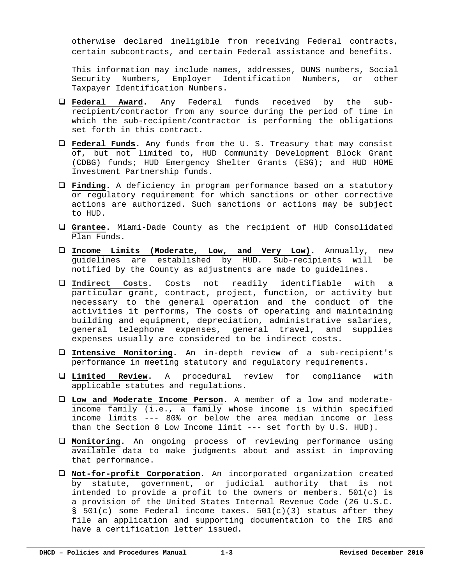otherwise declared ineligible from receiving Federal contracts, certain subcontracts, and certain Federal assistance and benefits.

This information may include names, addresses, DUNS numbers, Social Security Numbers, Employer Identification Numbers, or other Taxpayer Identification Numbers.

- **Federal Award.** Any Federal funds received by the subrecipient/contractor from any source during the period of time in which the sub-recipient/contractor is performing the obligations set forth in this contract.
- **Federal Funds.** Any funds from the U. S. Treasury that may consist of, but not limited to, HUD Community Development Block Grant (CDBG) funds; HUD Emergency Shelter Grants (ESG); and HUD HOME Investment Partnership funds.
- **Finding.** A deficiency in program performance based on a statutory or regulatory requirement for which sanctions or other corrective actions are authorized. Such sanctions or actions may be subject to HUD.
- **Grantee.** Miami-Dade County as the recipient of HUD Consolidated Plan Funds.
- **Income Limits (Moderate, Low, and Very Low).** Annually, new guidelines are established by HUD. Sub-recipients will be notified by the County as adjustments are made to guidelines.
- **Indirect Costs.** Costs not readily identifiable with a particular grant, contract, project, function, or activity but necessary to the general operation and the conduct of the activities it performs, The costs of operating and maintaining building and equipment, depreciation, administrative salaries, general telephone expenses, general travel, and supplies expenses usually are considered to be indirect costs.
- **Intensive Monitoring.** An in-depth review of a sub-recipient's performance in meeting statutory and regulatory requirements.
- **Limited Review.** A procedural review for compliance with applicable statutes and regulations.
- **Low and Moderate Income Person.** A member of a low and moderateincome family (i.e., a family whose income is within specified income limits --- 80% or below the area median income or less than the Section 8 Low Income limit --- set forth by U.S. HUD).
- **Monitoring.** An ongoing process of reviewing performance using available data to make judgments about and assist in improving that performance.
- **Not-for-profit Corporation***.* An incorporated organization created by statute, government, or judicial authority that is not intended to provide a profit to the owners or members.  $501(c)$  is a provision of the United States Internal Revenue Code (26 U.S.C. § 501(c) some Federal income taxes. 501(c)(3) status after they file an application and supporting documentation to the IRS and have a certification letter issued.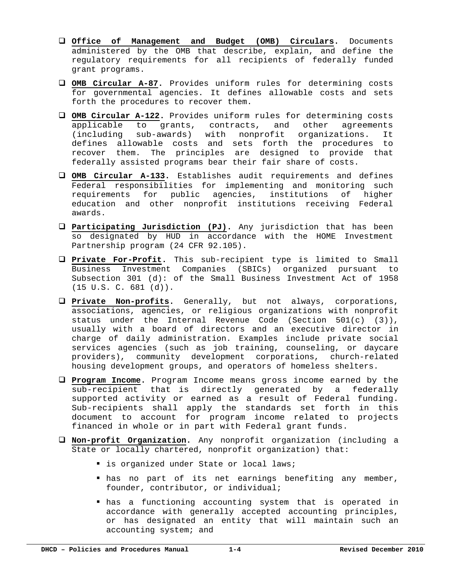- **Office of Management and Budget (OMB) Circulars.** Documents administered by the OMB that describe, explain, and define the regulatory requirements for all recipients of federally funded grant programs.
- **OMB Circular A-87.** Provides uniform rules for determining costs for governmental agencies. It defines allowable costs and sets forth the procedures to recover them.
- **OMB Circular A-122.** Provides uniform rules for determining costs applicable to grants, contracts, and other agreements (including sub-awards) with nonprofit organizations. It defines allowable costs and sets forth the procedures to recover them. The principles are designed to provide that federally assisted programs bear their fair share of costs.
- **OMB Circular A-133.** Establishes audit requirements and defines Federal responsibilities for implementing and monitoring such requirements for public agencies, institutions of higher education and other nonprofit institutions receiving Federal awards.
- **Participating Jurisdiction (PJ).** Any jurisdiction that has been so designated by HUD in accordance with the HOME Investment Partnership program (24 CFR 92.105).
- **Private For-Profit.** This sub-recipient type is limited to Small Business Investment Companies (SBICs) organized pursuant to Subsection 301 (d): of the Small Business Investment Act of 1958 (15 U.S. C. 681 (d)).
- **Private Non-profits.** Generally, but not always, corporations, associations, agencies, or religious organizations with nonprofit status under the Internal Revenue Code (Section 501(c) (3)), usually with a board of directors and an executive director in charge of daily administration. Examples include private social services agencies (such as job training, counseling, or daycare providers), community development corporations, church-related housing development groups, and operators of homeless shelters.
- **Program Income.** Program Income means gross income earned by the sub-recipient that is directly generated by a federally supported activity or earned as a result of Federal funding. Sub-recipients shall apply the standards set forth in this document to account for program income related to projects financed in whole or in part with Federal grant funds.
- **Non-profit Organization.** Any nonprofit organization (including a State or locally chartered, nonprofit organization) that:
	- **I** is organized under State or local laws;
	- has no part of its net earnings benefiting any member, founder, contributor, or individual;
	- has a functioning accounting system that is operated in accordance with generally accepted accounting principles, or has designated an entity that will maintain such an accounting system; and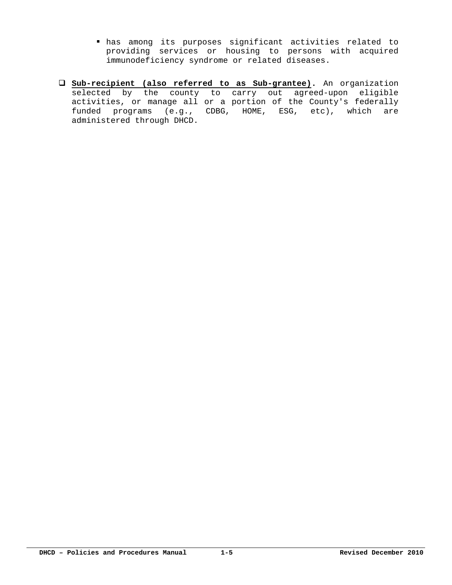- has among its purposes significant activities related to providing services or housing to persons with acquired immunodeficiency syndrome or related diseases.
- **Sub-recipient (also referred to as Sub-grantee).** An organization selected by the county to carry out agreed-upon eligible activities, or manage all or a portion of the County's federally funded programs (e.g., CDBG, HOME, ESG, etc), which are administered through DHCD.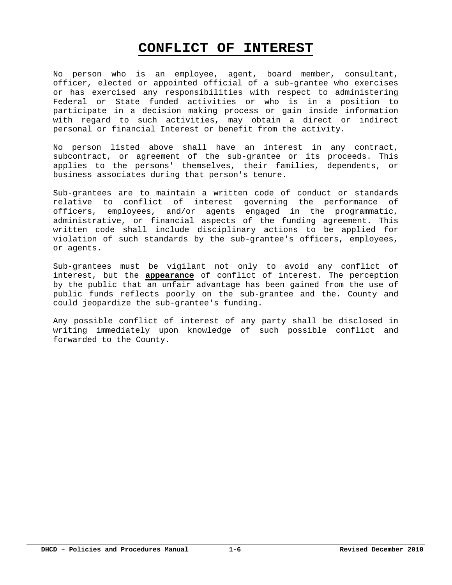# **CONFLICT OF INTEREST**

No person who is an employee, agent, board member, consultant, officer, elected or appointed official of a sub-grantee who exercises or has exercised any responsibilities with respect to administering Federal or State funded activities or who is in a position to participate in a decision making process or gain inside information with regard to such activities, may obtain a direct or indirect personal or financial Interest or benefit from the activity.

No person listed above shall have an interest in any contract, subcontract, or agreement of the sub-grantee or its proceeds. This applies to the persons' themselves, their families, dependents, or business associates during that person's tenure.

Sub-grantees are to maintain a written code of conduct or standards relative to conflict of interest governing the performance of officers, employees, and/or agents engaged in the programmatic, administrative, or financial aspects of the funding agreement. This written code shall include disciplinary actions to be applied for violation of such standards by the sub-grantee's officers, employees, or agents.

Sub-grantees must be vigilant not only to avoid any conflict of interest, but the **appearance** of conflict of interest. The perception by the public that an unfair advantage has been gained from the use of public funds reflects poorly on the sub-grantee and the. County and could jeopardize the sub-grantee's funding.

Any possible conflict of interest of any party shall be disclosed in writing immediately upon knowledge of such possible conflict and forwarded to the County.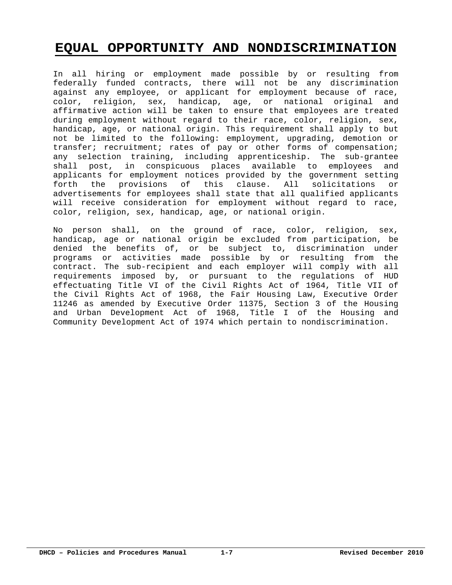# **EQUAL OPPORTUNITY AND NONDISCRIMINATION**

In all hiring or employment made possible by or resulting from federally funded contracts, there will not be any discrimination against any employee, or applicant for employment because of race, color, religion, sex, handicap, age, or national original and affirmative action will be taken to ensure that employees are treated during employment without regard to their race, color, religion, sex, handicap, age, or national origin. This requirement shall apply to but not be limited to the following: employment, upgrading, demotion or transfer; recruitment; rates of pay or other forms of compensation; any selection training, including apprenticeship. The sub-grantee shall post, in conspicuous places available to employees and applicants for employment notices provided by the government setting forth the provisions of this clause. All solicitations or advertisements for employees shall state that all qualified applicants will receive consideration for employment without regard to race, color, religion, sex, handicap, age, or national origin.

No person shall, on the ground of race, color, religion, sex, handicap, age or national origin be excluded from participation, be denied the benefits of, or be subject to, discrimination under programs or activities made possible by or resulting from the contract. The sub-recipient and each employer will comply with all requirements imposed by, or pursuant to the regulations of HUD effectuating Title VI of the Civil Rights Act of 1964, Title VII of the Civil Rights Act of 1968, the Fair Housing Law, Executive Order 11246 as amended by Executive Order 11375, Section 3 of the Housing and Urban Development Act of 1968, Title I of the Housing and Community Development Act of 1974 which pertain to nondiscrimination.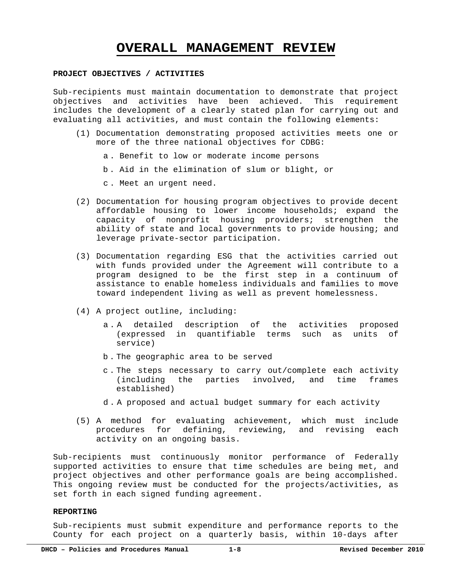## **OVERALL MANAGEMENT REVIEW**

#### **PROJECT OBJECTIVES / ACTIVITIES**

Sub-recipients must maintain documentation to demonstrate that project objectives and activities have been achieved. This requirement includes the development of a clearly stated plan for carrying out and evaluating all activities, and must contain the following elements:

- (1) Documentation demonstrating proposed activities meets one or more of the three national objectives for CDBG:
	- a . Benefit to low or moderate income persons
	- b . Aid in the elimination of slum or blight, or
	- c . Meet an urgent need.
- (2) Documentation for housing program objectives to provide decent affordable housing to lower income households; expand the capacity of nonprofit housing providers; strengthen the ability of state and local governments to provide housing; and leverage private-sector participation.
- (3) Documentation regarding ESG that the activities carried out with funds provided under the Agreement will contribute to a program designed to be the first step in a continuum of assistance to enable homeless individuals and families to move toward independent living as well as prevent homelessness.
- (4) A project outline, including:
	- a . A detailed description of the activities proposed (expressed in quantifiable terms such as units of service)
	- b . The geographic area to be served
	- c . The steps necessary to carry out/complete each activity (including the parties involved, and time frames established)
	- d . A proposed and actual budget summary for each activity
- (5) A method for evaluating achievement, which must include procedures for defining, reviewing, and revising each activity on an ongoing basis.

Sub-recipients must continuously monitor performance of Federally supported activities to ensure that time schedules are being met, and project objectives and other performance goals are being accomplished. This ongoing review must be conducted for the projects/activities, as set forth in each signed funding agreement.

#### **REPORTING**

Sub-recipients must submit expenditure and performance reports to the County for each project on a quarterly basis, within 10-days after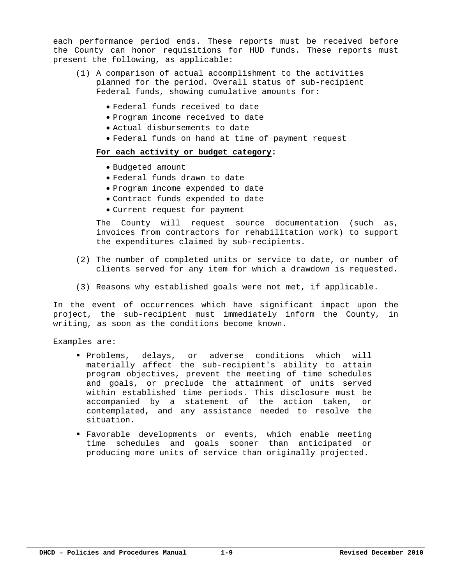each performance period ends. These reports must be received before the County can honor requisitions for HUD funds. These reports must present the following, as applicable:

- (1) A comparison of actual accomplishment to the activities planned for the period. Overall status of sub-recipient Federal funds, showing cumulative amounts for:
	- Federal funds received to date
	- Program income received to date
	- Actual disbursements to date
	- Federal funds on hand at time of payment request

#### **For each activity or budget category:**

- Budgeted amount
- Federal funds drawn to date
- Program income expended to date
- Contract funds expended to date
- Current request for payment

The County will request source documentation (such as, invoices from contractors for rehabilitation work) to support the expenditures claimed by sub-recipients.

- (2) The number of completed units or service to date, or number of clients served for any item for which a drawdown is requested.
- (3) Reasons why established goals were not met, if applicable.

In the event of occurrences which have significant impact upon the project, the sub-recipient must immediately inform the County, in writing, as soon as the conditions become known.

Examples are:

- Problems, delays, or adverse conditions which will materially affect the sub-recipient's ability to attain program objectives, prevent the meeting of time schedules and goals, or preclude the attainment of units served within established time periods. This disclosure must be accompanied by a statement of the action taken, or contemplated, and any assistance needed to resolve the situation.
- Favorable developments or events, which enable meeting time schedules and goals sooner than anticipated or producing more units of service than originally projected.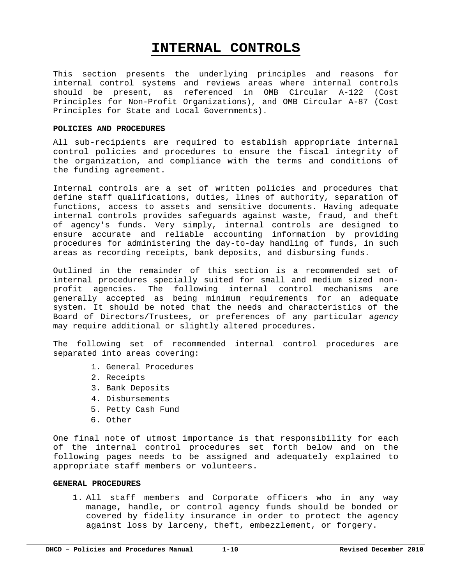# **INTERNAL CONTROLS**

This section presents the underlying principles and reasons for internal control systems and reviews areas where internal controls should be present, as referenced in OMB Circular A-122 (Cost Principles for Non-Profit Organizations), and OMB Circular A-87 (Cost Principles for State and Local Governments).

#### **POLICIES AND PROCEDURES**

All sub-recipients are required to establish appropriate internal control policies and procedures to ensure the fiscal integrity of the organization, and compliance with the terms and conditions of the funding agreement.

Internal controls are a set of written policies and procedures that define staff qualifications, duties, lines of authority, separation of functions, access to assets and sensitive documents. Having adequate internal controls provides safeguards against waste, fraud, and theft of agency's funds. Very simply, internal controls are designed to ensure accurate and reliable accounting information by providing procedures for administering the day-to-day handling of funds, in such areas as recording receipts, bank deposits, and disbursing funds.

Outlined in the remainder of this section is a recommended set of internal procedures specially suited for small and medium sized nonprofit agencies. The following internal control mechanisms are generally accepted as being minimum requirements for an adequate system. It should be noted that the needs and characteristics of the Board of Directors/Trustees, or preferences of any particular *agency*  may require additional or slightly altered procedures.

The following set of recommended internal control procedures are separated into areas covering:

- 1. General Procedures
- 2. Receipts
- 3. Bank Deposits
- 4. Disbursements
- 5. Petty Cash Fund
- 6. Other

One final note of utmost importance is that responsibility for each of the internal control procedures set forth below and on the following pages needs to be assigned and adequately explained to appropriate staff members or volunteers.

#### **GENERAL PROCEDURES**

1. All staff members and Corporate officers who in any way manage, handle, or control agency funds should be bonded or covered by fidelity insurance in order to protect the agency against loss by larceny, theft, embezzlement, or forgery.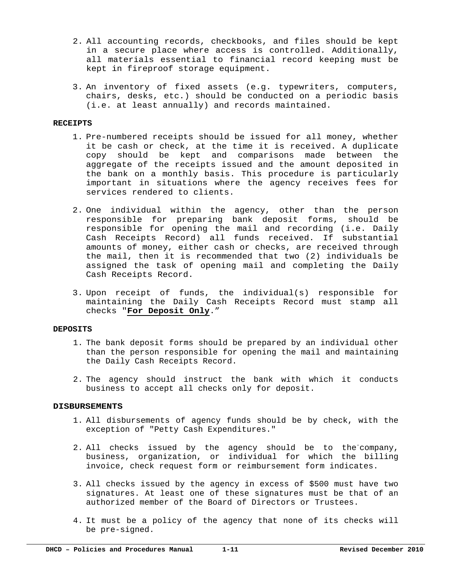- 2. All accounting records, checkbooks, and files should be kept in a secure place where access is controlled. Additionally, all materials essential to financial record keeping must be kept in fireproof storage equipment.
- 3. An inventory of fixed assets (e.g. typewriters, computers, chairs, desks, etc.) should be conducted on a periodic basis (i.e. at least annually) and records maintained.

#### **RECEIPTS**

- 1. Pre-numbered receipts should be issued for all money, whether it be cash or check, at the time it is received. A duplicate copy should be kept and comparisons made between the aggregate of the receipts issued and the amount deposited in the bank on a monthly basis. This procedure is particularly important in situations where the agency receives fees for services rendered to clients.
- 2. One individual within the agency, other than the person responsible for preparing bank deposit forms, should be responsible for opening the mail and recording (i.e. Daily Cash Receipts Record) all funds received. If substantial amounts of money, either cash or checks, are received through the mail, then it is recommended that two (2) individuals be assigned the task of opening mail and completing the Daily Cash Receipts Record.
- 3. Upon receipt of funds, the individual(s) responsible for maintaining the Daily Cash Receipts Record must stamp all checks "**For Deposit Only**."

#### **DEPOSITS**

- 1. The bank deposit forms should be prepared by an individual other than the person responsible for opening the mail and maintaining the Daily Cash Receipts Record.
- 2. The agency should instruct the bank with which it conducts business to accept all checks only for deposit.

#### **DISBURSEMENTS**

- 1. All disbursements of agency funds should be by check, with the exception of "Petty Cash Expenditures."
- 2. All checks issued by the agency should be to the company, business, organization, or individual for which the billing invoice, check request form or reimbursement form indicates.
- 3. All checks issued by the agency in excess of \$500 must have two signatures. At least one of these signatures must be that of an authorized member of the Board of Directors or Trustees.
- 4. It must be a policy of the agency that none of its checks will be pre-signed.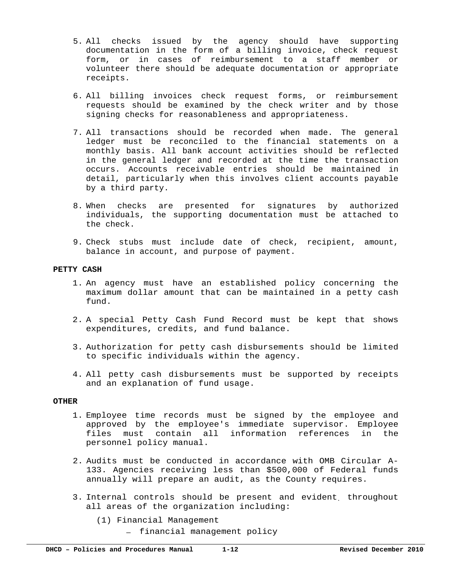- 5. All checks issued by the agency should have supporting documentation in the form of a billing invoice, check request form, or in cases of reimbursement to a staff member or volunteer there should be adequate documentation or appropriate receipts.
- 6. All billing invoices check request forms, or reimbursement requests should be examined by the check writer and by those signing checks for reasonableness and appropriateness.
- 7. All transactions should be recorded when made. The general ledger must be reconciled to the financial statements on a monthly basis. All bank account activities should be reflected in the general ledger and recorded at the time the transaction occurs. Accounts receivable entries should be maintained in detail, particularly when this involves client accounts payable by a third party.
- 8. When checks are presented for signatures by authorized individuals, the supporting documentation must be attached to the check.
- 9. Check stubs must include date of check, recipient, amount, balance in account, and purpose of payment.

#### **PETTY CASH**

- 1. An agency must have an established policy concerning the maximum dollar amount that can be maintained in a petty cash fund.
- 2. A special Petty Cash Fund Record must be kept that shows expenditures, credits, and fund balance.
- 3. Authorization for petty cash disbursements should be limited to specific individuals within the agency.
- 4. All petty cash disbursements must be supported by receipts and an explanation of fund usage.

#### **OTHER**

- 1. Employee time records must be signed by the employee and approved by the employee's immediate supervisor. Employee files must contain all information references in the personnel policy manual.
- 2. Audits must be conducted in accordance with OMB Circular A-133. Agencies receiving less than \$500,000 of Federal funds annually will prepare an audit, as the County requires.
- 3. Internal controls should be present and evident. throughout all areas of the organization including:
	- (1) Financial Management
		- **―** financial management policy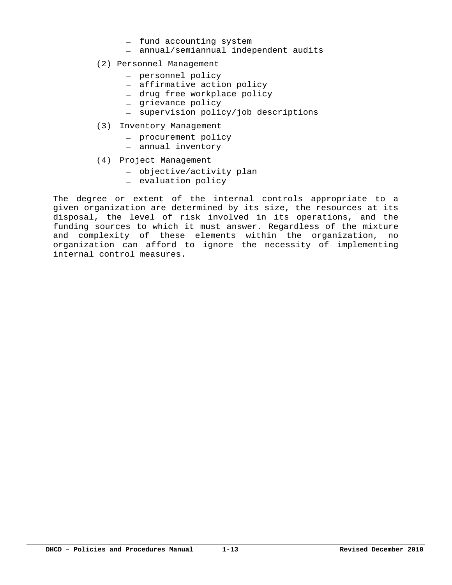- **―** fund accounting system
- **―** annual/semiannual independent audits
- (2) Personnel Management
	- **―** personnel policy
	- **―** affirmative action policy
	- **―** drug free workplace policy
	- **―** grievance policy
	- **―** supervision policy/job descriptions
- (3) Inventory Management
	- **―** procurement policy
	- **―** annual inventory
- (4) Project Management
	- **―** objective/activity plan
	- **―** evaluation policy

The degree or extent of the internal controls appropriate to a given organization are determined by its size, the resources at its disposal, the level of risk involved in its operations, and the funding sources to which it must answer. Regardless of the mixture and complexity of these elements within the organization, no organization can afford to ignore the necessity of implementing internal control measures.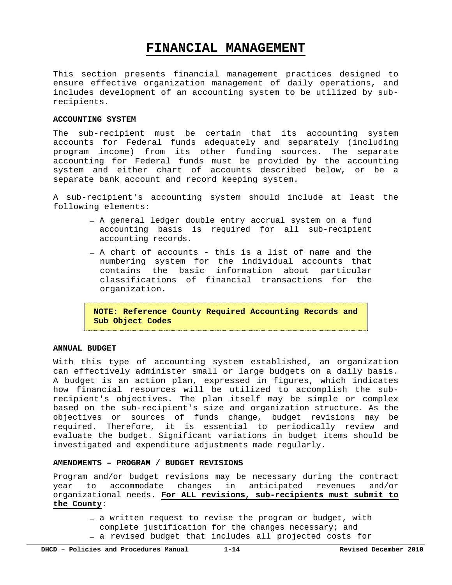# **FINANCIAL MANAGEMENT**

This section presents financial management practices designed to ensure effective organization management of daily operations, and includes development of an accounting system to be utilized by subrecipients.

#### **ACCOUNTING SYSTEM**

The sub-recipient must be certain that its accounting system accounts for Federal funds adequately and separately (including program income) from its other funding sources. The separate accounting for Federal funds must be provided by the accounting system and either chart of accounts described below, or be a separate bank account and record keeping system.

A sub-recipient's accounting system should include at least the following elements:

- **―** A general ledger double entry accrual system on a fund accounting basis is required for all sub-recipient accounting records.
- **―** A chart of accounts this is a list of name and the numbering system for the individual accounts that contains the basic information about particular classifications of financial transactions for the organization.

**NOTE: Reference County Required Accounting Records and Sub Object Codes** 

#### **ANNUAL BUDGET**

With this type of accounting system established, an organization can effectively administer small or large budgets on a daily basis. A budget is an action plan, expressed in figures, which indicates how financial resources will be utilized to accomplish the subrecipient's objectives. The plan itself may be simple or complex based on the sub-recipient's size and organization structure. As the objectives or sources of funds change, budget revisions may be required. Therefore, it is essential to periodically review and evaluate the budget. Significant variations in budget items should be investigated and expenditure adjustments made regularly.

#### **AMENDMENTS – PROGRAM / BUDGET REVISIONS**

Program and/or budget revisions may be necessary during the contract year to accommodate changes in anticipated revenues and/or organizational needs. **For ALL revisions, sub-recipients must submit to the County**:

- **―** a written request to revise the program or budget, with complete justification for the changes necessary; and
- **―** a revised budget that includes all projected costs for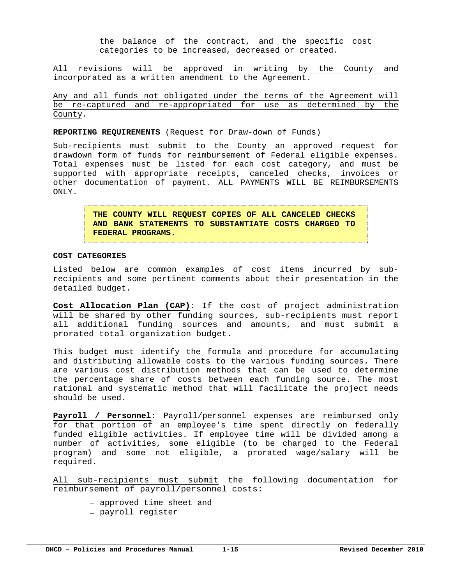the balance of the contract, and the specific cost categories to be increased, decreased or created.

All revisions will be approved in writing by the County and incorporated as a written amendment to the Agreement.

Any and all funds not obligated under the terms of the Agreement will be re-captured and re-appropriated for use as determined by the County.

**REPORTING REQUIREMENTS** (Request for Draw-down of Funds)

Sub-recipients must submit to the County an approved request for drawdown form of funds for reimbursement of Federal eligible expenses. Total expenses must be listed for each cost category, and must be supported with appropriate receipts, canceled checks, invoices or other documentation of payment. ALL PAYMENTS WILL BE REIMBURSEMENTS ONLY.

> **THE COUNTY WILL REQUEST COPIES OF ALL CANCELED CHECKS AND BANK STATEMENTS TO SUBSTANTIATE COSTS CHARGED TO FEDERAL PROGRAMS.**

#### **COST CATEGORIES**

Listed below are common examples of cost items incurred by subrecipients and some pertinent comments about their presentation in the detailed budget.

**Cost Allocation Plan (CAP)**: If the cost of project administration will be shared by other funding sources, sub-recipients must report all additional funding sources and amounts, and must submit a prorated total organization budget.

This budget must identify the formula and procedure for accumulating and distributing allowable costs to the various funding sources. There are various cost distribution methods that can be used to determine the percentage share of costs between each funding source. The most rational and systematic method that will facilitate the project needs should be used.

**Payroll / Personnel**: Payroll/personnel expenses are reimbursed only for that portion of an employee's time spent directly on federally funded eligible activities. If employee time will be divided among a number of activities, some eligible (to be charged to the Federal program) and some not eligible, a prorated wage/salary will be required.

All sub-recipients must submit the following documentation for reimbursement of payroll/personnel costs:

- **―** approved time sheet and
- **―** payroll register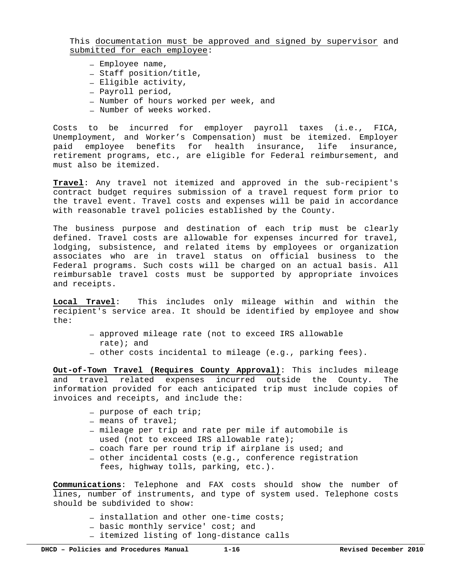This documentation must be approved and signed by supervisor and submitted for each employee:

- **―** Employee name,
- **―** Staff position/title,
- **―** Eligible activity,
- **―** Payroll period,
- **―** Number of hours worked per week, and
- **―** Number of weeks worked.

Costs to be incurred for employer payroll taxes (i.e., FICA, Unemployment, and Worker's Compensation) must be itemized. Employer paid employee benefits for health insurance, life insurance, retirement programs, etc., are eligible for Federal reimbursement, and must also be itemized.

**Travel**: Any travel not itemized and approved in the sub-recipient's contract budget requires submission of a travel request form prior to the travel event. Travel costs and expenses will be paid in accordance with reasonable travel policies established by the County.

The business purpose and destination of each trip must be clearly defined. Travel costs are allowable for expenses incurred for travel, lodging, subsistence, and related items by employees or organization associates who are in travel status on official business to the Federal programs. Such costs will be charged on an actual basis. All reimbursable travel costs must be supported by appropriate invoices and receipts.

**Local Travel**: This includes only mileage within and within the recipient's service area. It should be identified by employee and show the:

- **―** approved mileage rate (not to exceed IRS allowable rate); and
- **―** other costs incidental to mileage (e.g., parking fees).

**Out-of-Town Travel (Requires County Approval)**: This includes mileage and travel related expenses incurred outside the County. The information provided for each anticipated trip must include copies of invoices and receipts, and include the:

- **―** purpose of each trip;
- **―** means of travel;
- **―** mileage per trip and rate per mile if automobile is used (not to exceed IRS allowable rate);
- **―** coach fare per round trip if airplane is used; and
- **―** other incidental costs (e.g., conference registration
	- fees, highway tolls, parking, etc.).

**Communications**: Telephone and FAX costs should show the number of lines, number of instruments, and type of system used. Telephone costs should be subdivided to show:

- **―** installation and other one-time costs;
- **―** basic monthly service' cost; and
- **―** itemized listing of long-distance calls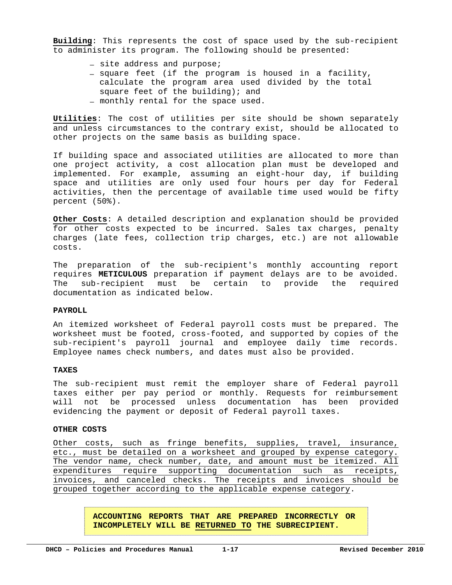**Building**: This represents the cost of space used by the sub-recipient to administer its program. The following should be presented:

- **―** site address and purpose;
- **―** square feet (if the program is housed in a facility, calculate the program area used divided by the total square feet of the building); and **―** monthly rental for the space used.

**Utilities**: The cost of utilities per site should be shown separately and unless circumstances to the contrary exist, should be allocated to other projects on the same basis as building space.

If building space and associated utilities are allocated to more than one project activity, a cost allocation plan must be developed and implemented. For example, assuming an eight-hour day, if building space and utilities are only used four hours per day for Federal activities, then the percentage of available time used would be fifty percent (50%).

**Other Costs**: A detailed description and explanation should be provided for other costs expected to be incurred. Sales tax charges, penalty charges (late fees, collection trip charges, etc.) are not allowable costs.

The preparation of the sub-recipient's monthly accounting report requires **METICULOUS** preparation if payment delays are to be avoided. The sub-recipient must be certain to provide the required documentation as indicated below.

#### PAYROLL<sup>1</sup>

An itemized worksheet of Federal payroll costs must be prepared. The worksheet must be footed, cross-footed, and supported by copies of the sub-recipient's payroll journal and employee daily time records. Employee names check numbers, and dates must also be provided.

#### **TAXES**

The sub-recipient must remit the employer share of Federal payroll taxes either per pay period or monthly. Requests for reimbursement will not be processed unless documentation has been provided evidencing the payment or deposit of Federal payroll taxes.

#### **OTHER COSTS**

Other costs, such as fringe benefits, supplies, travel, insurance, etc., must be detailed on a worksheet and grouped by expense category. The vendor name, check number, date, and amount must be itemized. All expenditures require supporting documentation such as receipts, invoices, and canceled checks. The receipts and invoices should be grouped together according to the applicable expense category.

> **ACCOUNTING REPORTS THAT ARE PREPARED INCORRECTLY OR INCOMPLETELY WILL BE RETURNED TO THE SUBRECIPIENT.**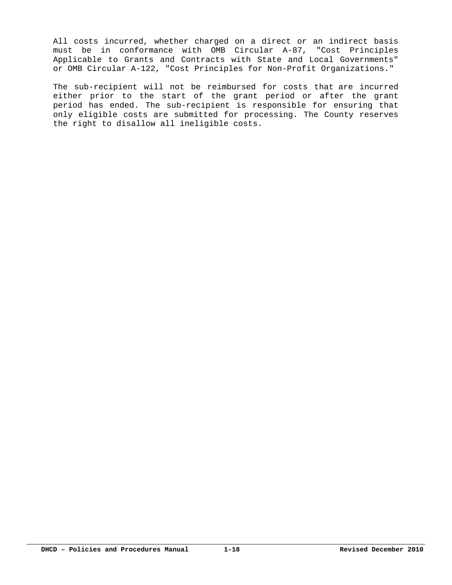All costs incurred, whether charged on a direct or an indirect basis must be in conformance with OMB Circular A-87, "Cost Principles Applicable to Grants and Contracts with State and Local Governments" or OMB Circular A-122, "Cost Principles for Non-Profit Organizations."

The sub-recipient will not be reimbursed for costs that are incurred either prior to the start of the grant period or after the grant period has ended. The sub-recipient is responsible for ensuring that only eligible costs are submitted for processing. The County reserves the right to disallow all ineligible costs.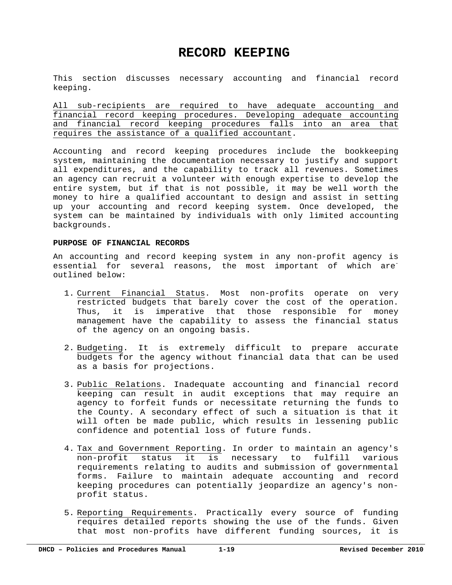## **RECORD KEEPING**

This section discusses necessary accounting and financial record keeping.

All sub-recipients are required to have adequate accounting and financial record keeping procedures. Developing adequate accounting and financial record keeping procedures falls into an area that requires the assistance of a qualified accountant.

Accounting and record keeping procedures include the bookkeeping system, maintaining the documentation necessary to justify and support all expenditures, and the capability to track all revenues. Sometimes an agency can recruit a volunteer with enough expertise to develop the entire system, but if that is not possible, it may be well worth the money to hire a qualified accountant to design and assist in setting up your accounting and record keeping system. Once developed, the system can be maintained by individuals with only limited accounting backgrounds.

#### **PURPOSE OF FINANCIAL RECORDS**

An accounting and record keeping system in any non-profit agency is essential for several reasons, the most important of which are outlined below:

- 1. Current Financial Status. Most non-profits operate on very restricted budgets that barely cover the cost of the operation. Thus, it is imperative that those responsible for money management have the capability to assess the financial status of the agency on an ongoing basis.
- 2. Budgeting. It is extremely difficult to prepare accurate budgets for the agency without financial data that can be used as a basis for projections.
- 3. Public Relations. Inadequate accounting and financial record keeping can result in audit exceptions that may require an agency to forfeit funds or necessitate returning the funds to the County. A secondary effect of such a situation is that it will often be made public, which results in lessening public confidence and potential loss of future funds.
- 4. Tax and Government Reporting. In order to maintain an agency's non-profit status it is necessary to fulfill various requirements relating to audits and submission of governmental forms. Failure to maintain adequate accounting and record keeping procedures can potentially jeopardize an agency's nonprofit status.
- 5. Reporting Requirements. Practically every source of funding requires detailed reports showing the use of the funds. Given that most non-profits have different funding sources, it is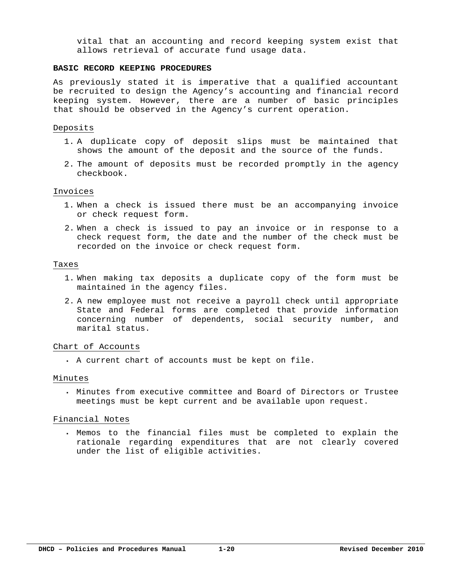vital that an accounting and record keeping system exist that allows retrieval of accurate fund usage data.

#### **BASIC RECORD KEEPING PROCEDURES**

As previously stated it is imperative that a qualified accountant be recruited to design the Agency's accounting and financial record keeping system. However, there are a number of basic principles that should be observed in the Agency's current operation.

#### Deposits

- 1. A duplicate copy of deposit slips must be maintained that shows the amount of the deposit and the source of the funds.
- 2. The amount of deposits must be recorded promptly in the agency checkbook.

#### Invoices

- 1. When a check is issued there must be an accompanying invoice or check request form.
- 2. When a check is issued to pay an invoice or in response to a check request form, the date and the number of the check must be recorded on the invoice or check request form.

#### Taxes

- 1. When making tax deposits a duplicate copy of the form must be maintained in the agency files.
- 2. A new employee must not receive a payroll check until appropriate State and Federal forms are completed that provide information concerning number of dependents, social security number, and marital status.

#### Chart of Accounts

A current chart of accounts must be kept on file.

#### Minutes

 Minutes from executive committee and Board of Directors or Trustee meetings must be kept current and be available upon request.

#### Financial Notes

 Memos to the financial files must be completed to explain the rationale regarding expenditures that are not clearly covered under the list of eligible activities.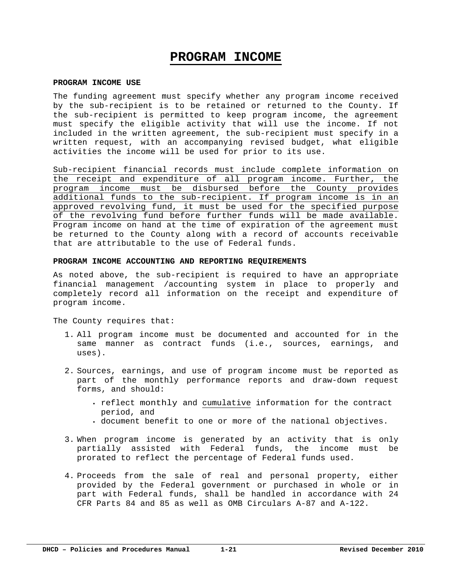## **PROGRAM INCOME**

#### **PROGRAM INCOME USE**

The funding agreement must specify whether any program income received by the sub-recipient is to be retained or returned to the County. If the sub-recipient is permitted to keep program income, the agreement must specify the eligible activity that will use the income. If not included in the written agreement, the sub-recipient must specify in a written request, with an accompanying revised budget, what eligible activities the income will be used for prior to its use.

Sub-recipient financial records must include complete information on the receipt and expenditure of all program income. Further, the program income must be disbursed before the County provides additional funds to the sub-recipient. If program income is in an approved revolving fund, it must be used for the specified purpose of the revolving fund before further funds will be made available. Program income on hand at the time of expiration of the agreement must be returned to the County along with a record of accounts receivable that are attributable to the use of Federal funds.

#### **PROGRAM INCOME ACCOUNTING AND REPORTING REQUIREMENTS**

As noted above, the sub-recipient is required to have an appropriate financial management /accounting system in place to properly and completely record all information on the receipt and expenditure of program income.

The County requires that:

- 1. All program income must be documented and accounted for in the same manner as contract funds (i.e., sources, earnings, and uses).
- 2. Sources, earnings, and use of program income must be reported as part of the monthly performance reports and draw-down request forms, and should:
	- reflect monthly and cumulative information for the contract period, and
	- document benefit to one or more of the national objectives.
- 3. When program income is generated by an activity that is only partially assisted with Federal funds, the income must be prorated to reflect the percentage of Federal funds used.
- 4. Proceeds from the sale of real and personal property, either provided by the Federal government or purchased in whole or in part with Federal funds, shall be handled in accordance with 24 CFR Parts 84 and 85 as well as OMB Circulars A-87 and A-122.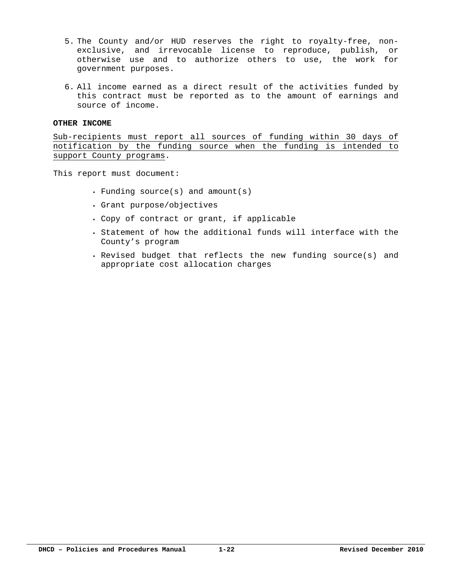- 5. The County and/or HUD reserves the right to royalty-free, nonexclusive, and irrevocable license to reproduce, publish, or otherwise use and to authorize others to use, the work for government purposes.
- 6. All income earned as a direct result of the activities funded by this contract must be reported as to the amount of earnings and source of income.

#### **OTHER INCOME**

Sub-recipients must report all sources of funding within 30 days of notification by the funding source when the funding is intended to support County programs.

This report must document:

- Funding source(s) and amount(s)
- Grant purpose/objectives
- Copy of contract or grant, if applicable
- . Statement of how the additional funds will interface with the County's program
- Revised budget that reflects the new funding source(s) and appropriate cost allocation charges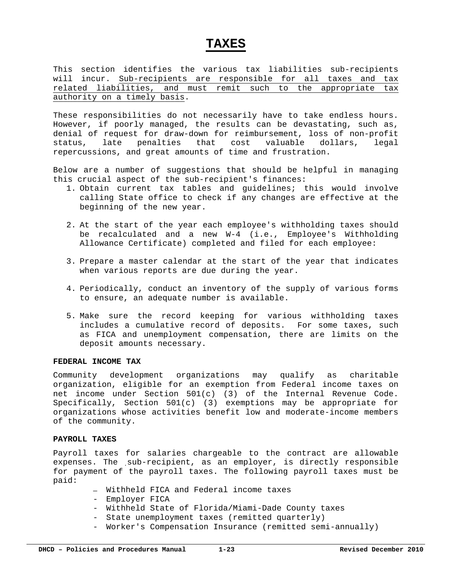### **TAXES**

This section identifies the various tax liabilities sub-recipients will incur. Sub-recipients are responsible for all taxes and tax related liabilities, and must remit such to the appropriate tax authority on a timely basis.

These responsibilities do not necessarily have to take endless hours. However, if poorly managed, the results can be devastating, such as, denial of request for draw-down for reimbursement, loss of non-profit status, late penalties that cost valuable dollars, legal repercussions, and great amounts of time and frustration.

Below are a number of suggestions that should be helpful in managing this crucial aspect of the sub-recipient's finances:

- 1. Obtain current tax tables and guidelines; this would involve calling State office to check if any changes are effective at the beginning of the new year.
- 2. At the start of the year each employee's withholding taxes should be recalculated and a new W-4 (i.e., Employee's Withholding Allowance Certificate) completed and filed for each employee:
- 3. Prepare a master calendar at the start of the year that indicates when various reports are due during the year.
- 4. Periodically, conduct an inventory of the supply of various forms to ensure, an adequate number is available.
- 5. Make sure the record keeping for various withholding taxes includes a cumulative record of deposits. For some taxes, such as FICA and unemployment compensation, there are limits on the deposit amounts necessary.

#### **FEDERAL INCOME TAX**

Community development organizations may qualify as charitable organization, eligible for an exemption from Federal income taxes on net income under Section 501(c) (3) of the Internal Revenue Code. Specifically, Section  $501(c)$  (3) exemptions may be appropriate for organizations whose activities benefit low and moderate-income members of the community.

#### **PAYROLL TAXES**

Payroll taxes for salaries chargeable to the contract are allowable expenses. The sub-recipient, as an employer, is directly responsible for payment of the payroll taxes. The following payroll taxes must be paid:

- **―** Withheld FICA and Federal income taxes
- Employer FICA
- Withheld State of Florida/Miami-Dade County taxes
- State unemployment taxes (remitted quarterly)
- Worker's Compensation Insurance (remitted semi-annually)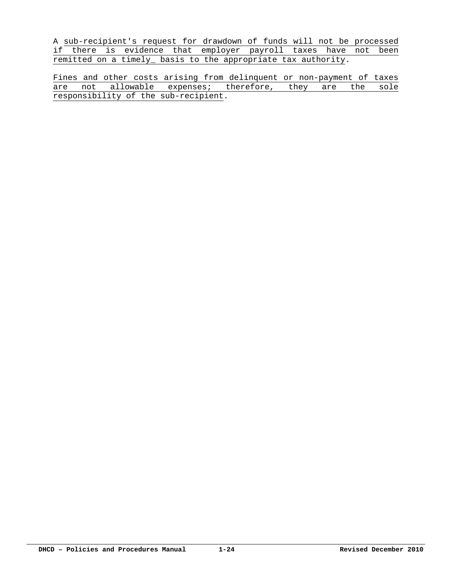A sub-recipient's request for drawdown of funds will not be processed if there is evidence that employer payroll taxes have not been remitted on a timely\_ basis to the appropriate tax authority.

Fines and other costs arising from delinquent or non-payment of taxes are not allowable expenses; therefore, they are the sole responsibility of the sub-recipient.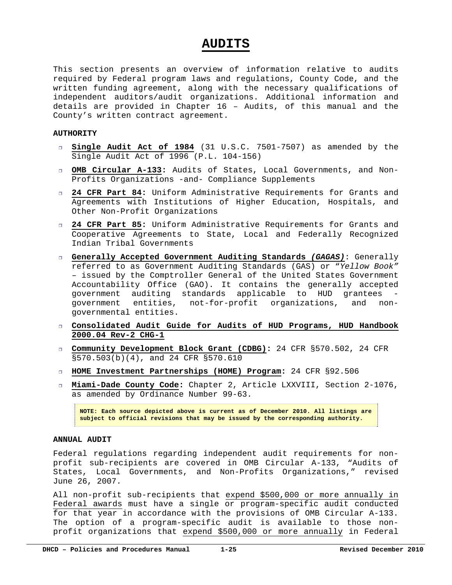### **AUDITS**

This section presents an overview of information relative to audits required by Federal program laws and regulations, County Code, and the written funding agreement, along with the necessary qualifications of independent auditors/audit organizations. Additional information and details are provided in Chapter 16 – Audits, of this manual and the County's written contract agreement.

#### **AUTHORITY**

- **Single Audit Act of 1984** (31 U.S.C. 7501-7507) as amended by the Single Audit Act of 1996 (P.L. 104-156)
- **OMB Circular A-133:** Audits of States, Local Governments, and Non-Profits Organizations -and- Compliance Supplements
- **24 CFR Part 84:** Uniform Administrative Requirements for Grants and Agreements with Institutions of Higher Education, Hospitals, and Other Non-Profit Organizations
- **24 CFR Part 85:** Uniform Administrative Requirements for Grants and Cooperative Agreements to State, Local and Federally Recognized Indian Tribal Governments
- **Generally Accepted Government Auditing Standards** *(GAGAS)*: Generally referred to as Government Auditing Standards (GAS) or "*Yellow Book"*  – issued by the Comptroller General of the United States Government Accountability Office (GAO). It contains the generally accepted government auditing standards applicable to HUD grantees government entities, not-for-profit organizations, and nongovernmental entities.
- **Consolidated Audit Guide for Audits of HUD Programs, HUD Handbook 2000.04 Rev-2 CHG-1**
- **Community Development Block Grant (CDBG):** 24 CFR §570.502, 24 CFR §570.503(b)(4), and 24 CFR §570.610
- **HOME Investment Partnerships (HOME) Program:** 24 CFR §92.506
- **Miami-Dade County Code:** Chapter 2, Article LXXVIII, Section 2-1076, as amended by Ordinance Number 99-63.

**NOTE: Each source depicted above is current as of December 2010. All listings are subject to official revisions that may be issued by the corresponding authority.**

#### **ANNUAL AUDIT**

Federal regulations regarding independent audit requirements for nonprofit sub-recipients are covered in OMB Circular A-133, "Audits of States, Local Governments, and Non-Profits Organizations," revised June 26, 2007.

All non-profit sub-recipients that expend \$500,000 or more annually in Federal awards must have a single or program-specific audit conducted for that year in accordance with the provisions of OMB Circular A-133. The option of a program-specific audit is available to those nonprofit organizations that expend \$500,000 or more annually in Federal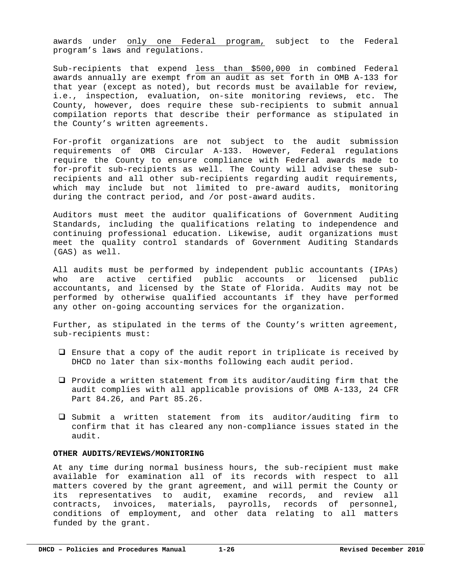awards under only one Federal program, subject to the Federal program's laws and regulations.

Sub-recipients that expend less than \$500,000 in combined Federal awards annually are exempt from an audit as set forth in OMB A-133 for that year (except as noted), but records must be available for review, i.e., inspection, evaluation, on-site monitoring reviews, etc. The County, however, does require these sub-recipients to submit annual compilation reports that describe their performance as stipulated in the County's written agreements.

For-profit organizations are not subject to the audit submission requirements of OMB Circular A-133. However, Federal regulations require the County to ensure compliance with Federal awards made to for-profit sub-recipients as well. The County will advise these subrecipients and all other sub-recipients regarding audit requirements, which may include but not limited to pre-award audits, monitoring during the contract period, and /or post-award audits.

Auditors must meet the auditor qualifications of Government Auditing Standards, including the qualifications relating to independence and continuing professional education. Likewise, audit organizations must meet the quality control standards of Government Auditing Standards (GAS) as well.

All audits must be performed by independent public accountants (IPAs) who are active certified public accounts or licensed public accountants, and licensed by the State of Florida. Audits may not be performed by otherwise qualified accountants if they have performed any other on-going accounting services for the organization.

Further, as stipulated in the terms of the County's written agreement, sub-recipients must:

- $\Box$  Ensure that a copy of the audit report in triplicate is received by DHCD no later than six-months following each audit period.
- $\square$  Provide a written statement from its auditor/auditing firm that the audit complies with all applicable provisions of OMB A-133, 24 CFR Part 84.26, and Part 85.26.
- $\square$  Submit a written statement from its auditor/auditing firm to confirm that it has cleared any non-compliance issues stated in the audit.

#### **OTHER AUDITS/REVIEWS/MONITORING**

At any time during normal business hours, the sub-recipient must make available for examination all of its records with respect to all matters covered by the grant agreement, and will permit the County or its representatives to audit, examine records, and review all contracts, invoices, materials, payrolls, records of personnel, conditions of employment, and other data relating to all matters funded by the grant.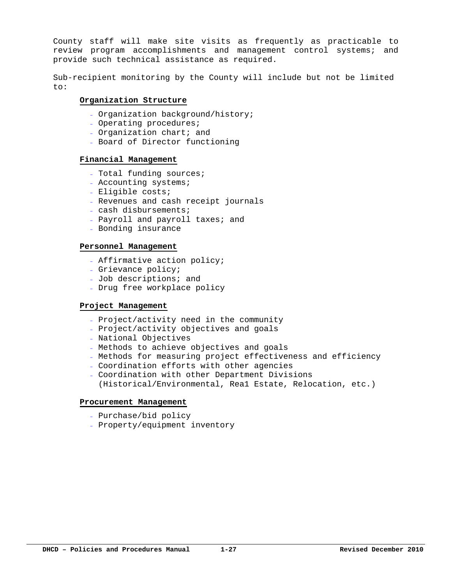County staff will make site visits as frequently as practicable to review program accomplishments and management control systems; and provide such technical assistance as required.

Sub-recipient monitoring by the County will include but not be limited to:

#### **Organization Structure**

- Organization background/history;
- Operating procedures;
- Organization chart; and
- Board of Director functioning

#### **Financial Management**

- Total funding sources;
- Accounting systems;
- Eligible costs;
- Revenues and cash receipt journals
- cash disbursements;
- Payroll and payroll taxes; and
- Bonding insurance

#### **Personnel Management**

- Affirmative action policy;
- Grievance policy;
- Job descriptions; and
- Drug free workplace policy

#### **Project Management**

- Project/activity need in the community
- Project/activity objectives and goals
- National Objectives
- Methods to achieve objectives and goals
- Methods for measuring project effectiveness and efficiency
- Coordination efforts with other agencies
- Coordination with other Department Divisions (Historical/Environmental, Rea1 Estate, Relocation, etc.)

#### **Procurement Management**

- Purchase/bid policy
- Property/equipment inventory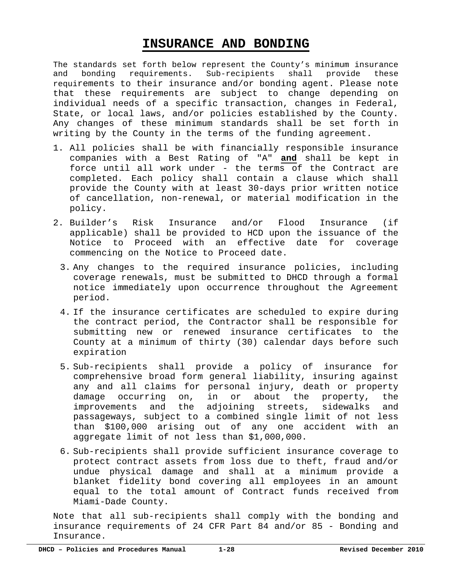# **INSURANCE AND BONDING**

The standards set forth below represent the County's minimum insurance and bonding requirements. Sub-recipients shall provide these requirements to their insurance and/or bonding agent. Please note that these requirements are subject to change depending on individual needs of a specific transaction, changes in Federal, State, or local laws, and/or policies established by the County. Any changes of these minimum standards shall be set forth in writing by the County in the terms of the funding agreement.

- 1. All policies shall be with financially responsible insurance companies with a Best Rating of "A" **and** shall be kept in force until all work under - the terms of the Contract are completed. Each policy shall contain a clause which shall provide the County with at least 30-days prior written notice of cancellation, non-renewal, or material modification in the policy.
- 2. Builder's Risk Insurance and/or Flood Insurance (if applicable) shall be provided to HCD upon the issuance of the Notice to Proceed with an effective date for coverage commencing on the Notice to Proceed date.
	- 3. Any changes to the required insurance policies, including coverage renewals, must be submitted to DHCD through a formal notice immediately upon occurrence throughout the Agreement period.
	- 4. If the insurance certificates are scheduled to expire during the contract period, the Contractor shall be responsible for submitting new or renewed insurance certificates to the County at a minimum of thirty (30) calendar days before such expiration
	- 5. Sub-recipients shall provide a policy of insurance for comprehensive broad form general liability, insuring against any and all claims for personal injury, death or property damage occurring on, in or about the property, the improvements and the adjoining streets, sidewalks and passageways, subject to a combined single limit of not less than \$100,000 arising out of any one accident with an aggregate limit of not less than \$1,000,000.
	- 6. Sub-recipients shall provide sufficient insurance coverage to protect contract assets from loss due to theft, fraud and/or undue physical damage and shall at a minimum provide a blanket fidelity bond covering all employees in an amount equal to the total amount of Contract funds received from Miami-Dade County.

Note that all sub-recipients shall comply with the bonding and insurance requirements of 24 CFR Part 84 and/or 85 - Bonding and Insurance.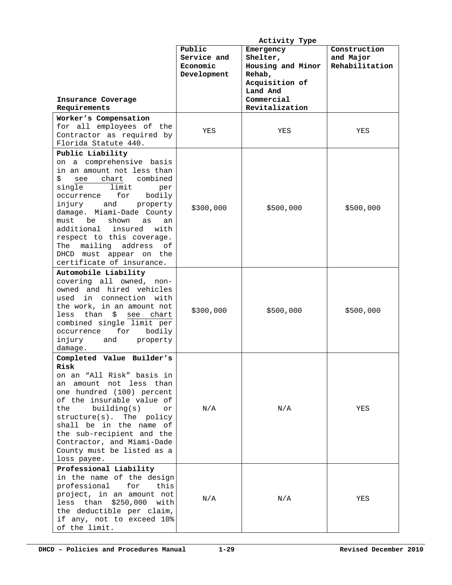|                                 | Activity Type |                   |                |
|---------------------------------|---------------|-------------------|----------------|
|                                 | Public        | Emergency         | Construction   |
|                                 | Service and   | Shelter,          | and Major      |
|                                 | Economic      | Housing and Minor | Rehabilitation |
|                                 | Development   | Rehab,            |                |
|                                 |               | Acquisition of    |                |
|                                 |               | Land And          |                |
| Insurance Coverage              |               | Commercial        |                |
| Requirements                    |               | Revitalization    |                |
| Worker's Compensation           |               |                   |                |
| for all employees of the        | YES           | YES               | YES            |
| Contractor as required by       |               |                   |                |
| Florida Statute 440.            |               |                   |                |
| Public Liability                |               |                   |                |
| on a comprehensive basis        |               |                   |                |
| in an amount not less than      |               |                   |                |
| \$<br>chart combined<br>see     |               |                   |                |
| single<br>limit<br>per          |               |                   |                |
| for<br>bodily<br>occurrence     |               |                   |                |
| injury<br>and<br>property       |               |                   |                |
| damage. Miami-Dade County       | \$300,000     | \$500,000         | \$500,000      |
| must<br>be<br>shown<br>as<br>an |               |                   |                |
| additional insured<br>with      |               |                   |                |
| respect to this coverage.       |               |                   |                |
| mailing address<br>The<br>οf    |               |                   |                |
| DHCD must appear on the         |               |                   |                |
| certificate of insurance.       |               |                   |                |
| Automobile Liability            |               |                   |                |
| covering all owned, non-        |               |                   |                |
| owned and hired vehicles        |               |                   |                |
| used in connection with         |               |                   |                |
| the work, in an amount not      |               |                   |                |
| less than<br>\$<br>see chart    | \$300,000     | \$500,000         | \$500,000      |
| combined single limit per       |               |                   |                |
| for<br>bodily<br>occurrence     |               |                   |                |
| injury<br>and<br>property       |               |                   |                |
| damage.                         |               |                   |                |
| Completed Value Builder's       |               |                   |                |
| Risk                            |               |                   |                |
| on an "All Risk" basis in       |               |                   |                |
| amount not less than<br>an      |               |                   |                |
| one hundred (100) percent       |               |                   |                |
| of the insurable value of       |               |                   |                |
| building(s)<br>the<br>or        | N/A           | N/A               | YES            |
| structure(s). The policy        |               |                   |                |
| shall be in the name of         |               |                   |                |
| the sub-recipient and the       |               |                   |                |
| Contractor, and Miami-Dade      |               |                   |                |
| County must be listed as a      |               |                   |                |
| loss payee.                     |               |                   |                |
| Professional Liability          |               |                   |                |
| in the name of the design       |               |                   |                |
| professional<br>for<br>this     |               |                   |                |
| project, in an amount not       |               |                   |                |
| less than \$250,000 with        | N/A           | N/A               | YES            |
| the deductible per claim,       |               |                   |                |
| if any, not to exceed 10%       |               |                   |                |
| of the limit.                   |               |                   |                |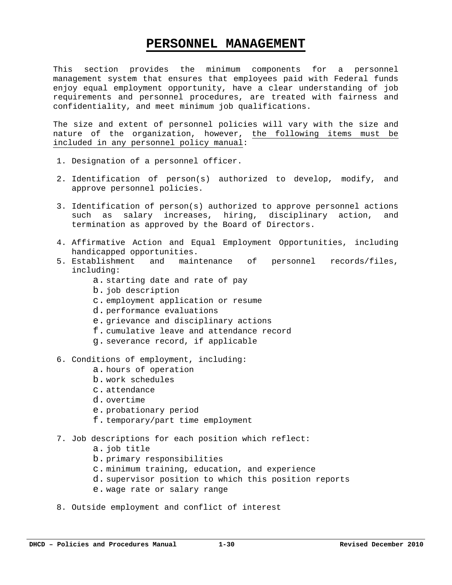### **PERSONNEL MANAGEMENT**

This section provides the minimum components for a personnel management system that ensures that employees paid with Federal funds enjoy equal employment opportunity, have a clear understanding of job requirements and personnel procedures, are treated with fairness and confidentiality, and meet minimum job qualifications.

The size and extent of personnel policies will vary with the size and nature of the organization, however, the following items must be included in any personnel policy manual:

- 1. Designation of a personnel officer.
- 2. Identification of person(s) authorized to develop, modify, and approve personnel policies.
- 3. Identification of person(s) authorized to approve personnel actions such as salary increases, hiring, disciplinary action, and termination as approved by the Board of Directors.
- 4. Affirmative Action and Equal Employment Opportunities, including handicapped opportunities.
- 5. Establishment and maintenance of personnel records/files, including:
	- a. starting date and rate of pay
	- b. job description
	- c. employment application or resume
	- d. performance evaluations
	- e. grievance and disciplinary actions
	- f. cumulative leave and attendance record
	- g. severance record, if applicable
- 6. Conditions of employment, including:
	- a. hours of operation
	- b. work schedules
	- c. attendance
	- d. overtime
	- e. probationary period
	- f. temporary/part time employment
- 7. Job descriptions for each position which reflect:
	- a. job title
	- b. primary responsibilities
	- c. minimum training, education, and experience
	- d. supervisor position to which this position reports
	- e. wage rate or salary range
- 8. Outside employment and conflict of interest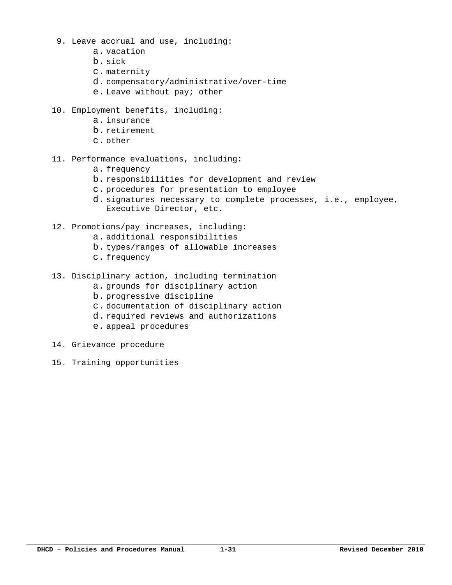- 9. Leave accrual and use, including:
	- a. vacation
	- b. sick
	- c. maternity
	- d. compensatory/administrative/over-time
	- e. Leave without pay; other
- 10. Employment benefits, including:
	- a. insurance
	- b. retirement
	- c. other
- 11. Performance evaluations, including:
	- a. frequency
	- b. responsibilities for development and review
	- c. procedures for presentation to employee
	- d. signatures necessary to complete processes, i.e., employee, Executive Director, etc.
- 12. Promotions/pay increases, including:
	- a. additional responsibilities
	- b. types/ranges of allowable increases
	- c. frequency
- 13. Disciplinary action, including termination
	- a. grounds for disciplinary action
	- b. progressive discipline
	- c. documentation of disciplinary action
	- d. required reviews and authorizations
	- e. appeal procedures
- 14. Grievance procedure
- 15. Training opportunities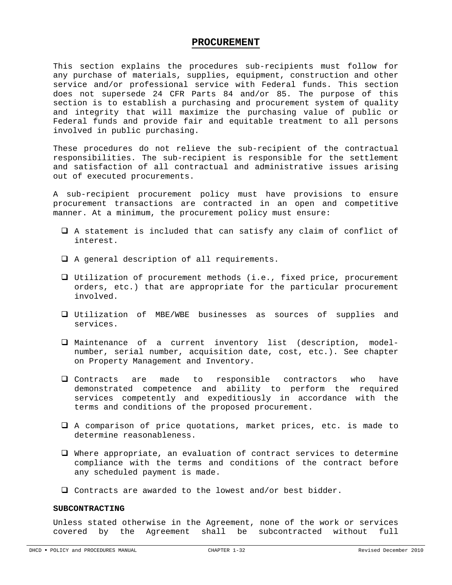#### **PROCUREMENT**

This section explains the procedures sub-recipients must follow for any purchase of materials, supplies, equipment, construction and other service and/or professional service with Federal funds. This section does not supersede 24 CFR Parts 84 and/or 85. The purpose of this section is to establish a purchasing and procurement system of quality and integrity that will maximize the purchasing value of public or Federal funds and provide fair and equitable treatment to all persons involved in public purchasing.

These procedures do not relieve the sub-recipient of the contractual responsibilities. The sub-recipient is responsible for the settlement and satisfaction of all contractual and administrative issues arising out of executed procurements.

A sub-recipient procurement policy must have provisions to ensure procurement transactions are contracted in an open and competitive manner. At a minimum, the procurement policy must ensure:

- A statement is included that can satisfy any claim of conflict of interest.
- A general description of all requirements.
- Utilization of procurement methods (i.e., fixed price, procurement orders, etc.) that are appropriate for the particular procurement involved.
- Utilization of MBE/WBE businesses as sources of supplies and services.
- Maintenance of a current inventory list (description, modelnumber, serial number, acquisition date, cost, etc.). See chapter on Property Management and Inventory.
- Contracts are made to responsible contractors who have demonstrated competence and ability to perform the required services competently and expeditiously in accordance with the terms and conditions of the proposed procurement.
- A comparison of price quotations, market prices, etc. is made to determine reasonableness.
- Where appropriate, an evaluation of contract services to determine compliance with the terms and conditions of the contract before any scheduled payment is made.
- Contracts are awarded to the lowest and/or best bidder.

#### **SUBCONTRACTING**

Unless stated otherwise in the Agreement, none of the work or services covered by the Agreement shall be subcontracted without full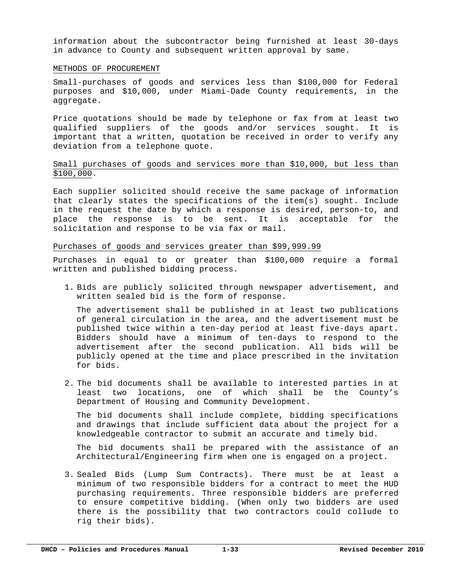information about the subcontractor being furnished at least 30-days in advance to County and subsequent written approval by same.

#### METHODS OF PROCUREMENT

Small-purchases of goods and services less than \$100,000 for Federal purposes and \$10,000, under Miami-Dade County requirements, in the aggregate.

Price quotations should be made by telephone or fax from at least two qualified suppliers of the goods and/or services sought. It is important that a written, quotation be received in order to verify any deviation from a telephone quote.

#### Small purchases of goods and services more than \$10,000, but less than \$100,000.

Each supplier solicited should receive the same package of information that clearly states the specifications of the item(s) sought. Include in the request the date by which a response is desired, person-to, and place the response is to be sent. It is acceptable for the solicitation and response to be via fax or mail.

#### Purchases of goods and services greater than \$99,999.99

Purchases in equal to or greater than \$100,000 require a formal written and published bidding process.

1. Bids are publicly solicited through newspaper advertisement, and written sealed bid is the form of response.

The advertisement shall be published in at least two publications of general circulation in the area, and the advertisement must be published twice within a ten-day period at least five-days apart. Bidders should have a minimum of ten-days to respond to the advertisement after the second publication. All bids will be publicly opened at the time and place prescribed in the invitation for bids.

2. The bid documents shall be available to interested parties in at least two locations, one of which shall be the County's Department of Housing and Community Development.

The bid documents shall include complete, bidding specifications and drawings that include sufficient data about the project for a knowledgeable contractor to submit an accurate and timely bid.

The bid documents shall be prepared with the assistance of an Architectural/Engineering firm when one is engaged on a project.

3. Sealed Bids (Lump Sum Contracts). There must be at least a minimum of two responsible bidders for a contract to meet the HUD purchasing requirements. Three responsible bidders are preferred to ensure competitive bidding. (When only two bidders are used there is the possibility that two contractors could collude to rig their bids).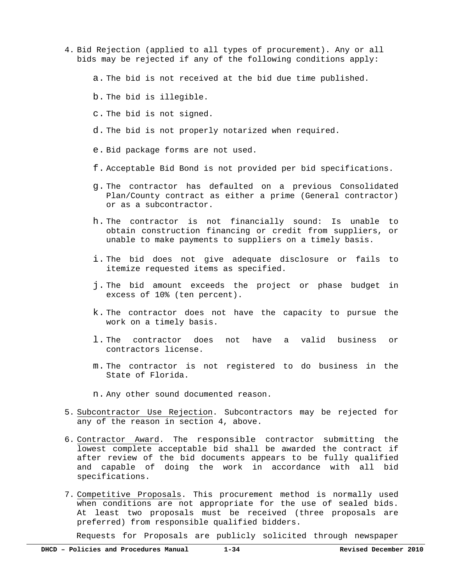- 4. Bid Rejection (applied to all types of procurement). Any or all bids may be rejected if any of the following conditions apply:
	- a. The bid is not received at the bid due time published.
	- b. The bid is illegible.
	- c. The bid is not signed.
	- d. The bid is not properly notarized when required.
	- e. Bid package forms are not used.
	- f. Acceptable Bid Bond is not provided per bid specifications.
	- g. The contractor has defaulted on a previous Consolidated Plan/County contract as either a prime (General contractor) or as a subcontractor.
	- h. The contractor is not financially sound: Is unable to obtain construction financing or credit from suppliers, or unable to make payments to suppliers on a timely basis.
	- i. The bid does not give adequate disclosure or fails to itemize requested items as specified.
	- j. The bid amount exceeds the project or phase budget in excess of 10% (ten percent).
	- k. The contractor does not have the capacity to pursue the work on a timely basis.
	- l. The contractor does not have a valid business or contractors license.
	- m. The contractor is not registered to do business in the State of Florida.
	- n. Any other sound documented reason.
- 5. Subcontractor Use Rejection. Subcontractors may be rejected for any of the reason in section 4, above.
- 6. Contractor Award. The responsible contractor submitting the lowest complete acceptable bid shall be awarded the contract if after review of the bid documents appears to be fully qualified and capable of doing the work in accordance with all bid specifications.
- 7. Competitive Proposals. This procurement method is normally used when conditions are not appropriate for the use of sealed bids. At least two proposals must be received (three proposals are preferred) from responsible qualified bidders.

Requests for Proposals are publicly solicited through newspaper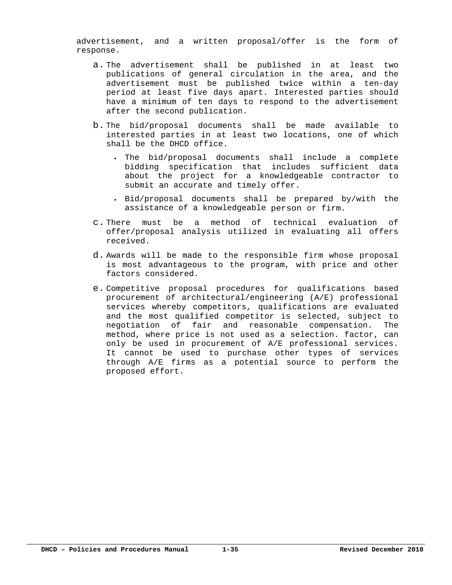advertisement, and a written proposal/offer is the form of response.

- a. The advertisement shall be published in at least two publications of general circulation in the area, and the advertisement must be published twice within a ten-day period at least five days apart. Interested parties should have a minimum of ten days to respond to the advertisement after the second publication.
- b. The bid/proposal documents shall be made available to interested parties in at least two locations, one of which shall be the DHCD office.
	- The bid/proposal documents shall include a complete bidding specification that includes sufficient data about the project for a knowledgeable contractor to submit an accurate and timely offer.
	- Bid/proposal documents shall be prepared by/with the assistance of a knowledgeable person or firm.
- c. There must be a method of technical evaluation of offer/proposal analysis utilized in evaluating all offers received.
- d. Awards will be made to the responsible firm whose proposal is most advantageous to the program, with price and other factors considered.
- e. Competitive proposal procedures for qualifications based procurement of architectural/engineering (A/E) professional services whereby competitors, qualifications are evaluated and the most qualified competitor is selected, subject to negotiation of fair and reasonable compensation. The method, where price is not used as a selection. factor, can only be used in procurement of A/E professional services. It cannot be used to purchase other types of services through A/E firms as a potential source to perform the proposed effort.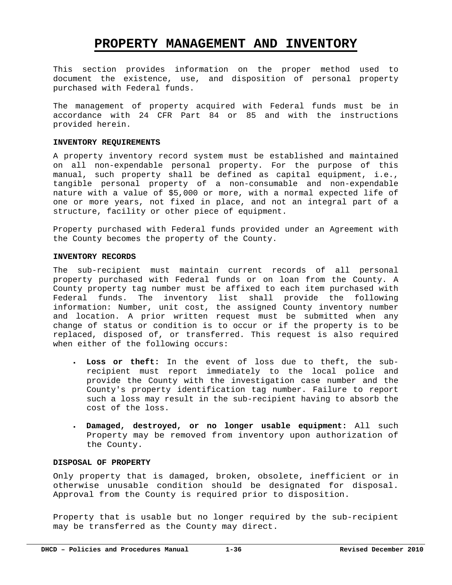## **PROPERTY MANAGEMENT AND INVENTORY**

This section provides information on the proper method used to document the existence, use, and disposition of personal property purchased with Federal funds.

The management of property acquired with Federal funds must be in accordance with 24 CFR Part 84 or 85 and with the instructions provided herein.

#### **INVENTORY REQUIREMENTS**

A property inventory record system must be established and maintained on all non-expendable personal property. For the purpose of this manual, such property shall be defined as capital equipment, i.e., tangible personal property of a non-consumable and non-expendable nature with a value of \$5,000 or more, with a normal expected life of one or more years, not fixed in place, and not an integral part of a structure, facility or other piece of equipment.

Property purchased with Federal funds provided under an Agreement with the County becomes the property of the County.

#### **INVENTORY RECORDS**

The sub-recipient must maintain current records of all personal property purchased with Federal funds or on loan from the County. A County property tag number must be affixed to each item purchased with Federal funds. The inventory list shall provide the following information: Number, unit cost, the assigned County inventory number and location. A prior written request must be submitted when any change of status or condition is to occur or if the property is to be replaced, disposed of, or transferred. This request is also required when either of the following occurs:

- **Loss or theft:** In the event of loss due to theft, the subrecipient must report immediately to the local police and provide the County with the investigation case number and the County's property identification tag number. Failure to report such a loss may result in the sub-recipient having to absorb the cost of the loss.
- **Damaged, destroyed, or no longer usable equipment:** All such Property may be removed from inventory upon authorization of the County.

#### **DISPOSAL OF PROPERTY**

Only property that is damaged, broken, obsolete, inefficient or in otherwise unusable condition should be designated for disposal. Approval from the County is required prior to disposition.

Property that is usable but no longer required by the sub-recipient may be transferred as the County may direct.